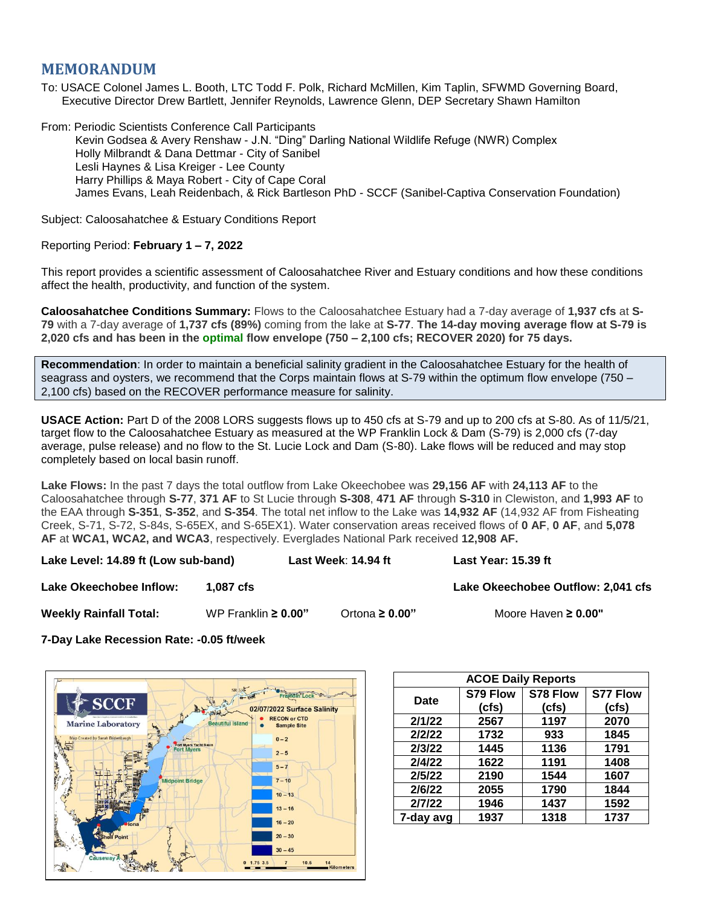## **MEMORANDUM**

To: USACE Colonel James L. Booth, LTC Todd F. Polk, Richard McMillen, Kim Taplin, SFWMD Governing Board, Executive Director Drew Bartlett, Jennifer Reynolds, Lawrence Glenn, DEP Secretary Shawn Hamilton

From: Periodic Scientists Conference Call Participants Kevin Godsea & Avery Renshaw - J.N. "Ding" Darling National Wildlife Refuge (NWR) Complex Holly Milbrandt & Dana Dettmar - City of Sanibel Lesli Haynes & Lisa Kreiger - Lee County Harry Phillips & Maya Robert - City of Cape Coral James Evans, Leah Reidenbach, & Rick Bartleson PhD - SCCF (Sanibel-Captiva Conservation Foundation)

Subject: Caloosahatchee & Estuary Conditions Report

## Reporting Period: **February 1 – 7, 2022**

This report provides a scientific assessment of Caloosahatchee River and Estuary conditions and how these conditions affect the health, productivity, and function of the system.

**Caloosahatchee Conditions Summary:** Flows to the Caloosahatchee Estuary had a 7-day average of **1,937 cfs** at **S-79** with a 7-day average of **1,737 cfs (89%)** coming from the lake at **S-77**. **The 14-day moving average flow at S-79 is 2,020 cfs and has been in the optimal flow envelope (750 – 2,100 cfs; RECOVER 2020) for 75 days.**

**Recommendation**: In order to maintain a beneficial salinity gradient in the Caloosahatchee Estuary for the health of seagrass and oysters, we recommend that the Corps maintain flows at S-79 within the optimum flow envelope (750 – 2,100 cfs) based on the RECOVER performance measure for salinity.

**USACE Action:** Part D of the 2008 LORS suggests flows up to 450 cfs at S-79 and up to 200 cfs at S-80. As of 11/5/21, target flow to the Caloosahatchee Estuary as measured at the WP Franklin Lock & Dam (S-79) is 2,000 cfs (7-day average, pulse release) and no flow to the St. Lucie Lock and Dam (S-80). Lake flows will be reduced and may stop completely based on local basin runoff.

**Lake Flows:** In the past 7 days the total outflow from Lake Okeechobee was **29,156 AF** with **24,113 AF** to the Caloosahatchee through **S-77**, **371 AF** to St Lucie through **S-308**, **471 AF** through **S-310** in Clewiston, and **1,993 AF** to the EAA through **S-351**, **S-352**, and **S-354**. The total net inflow to the Lake was **14,932 AF** (14,932 AF from Fisheating Creek, S-71, S-72, S-84s, S-65EX, and S-65EX1). Water conservation areas received flows of **0 AF**, **0 AF**, and **5,078 AF** at **WCA1, WCA2, and WCA3**, respectively. Everglades National Park received **12,908 AF.**

**Lake Level: 14.89 ft (Low sub-band) Last Week**: **14.94 ft Last Year: 15.39 ft**

**Lake Okeechobee Inflow:**  $\qquad$  **1,087 cfs Lake Channel 2,041 cfs** Lake Okeechobee Outflow: 2,041 cfs

**Weekly Rainfall Total:** WP Franklin **≥ 0.00"** Ortona **≥ 0.00"** Moore Haven **≥ 0.00"**

**7-Day Lake Recession Rate: -0.05 ft/week**



| <b>ACOE Daily Reports</b> |          |          |                 |  |  |  |
|---------------------------|----------|----------|-----------------|--|--|--|
| Date                      | S79 Flow | S78 Flow | <b>S77 Flow</b> |  |  |  |
|                           | (cfs)    | (cfs)    | (cfs)           |  |  |  |
| 2/1/22                    | 2567     | 1197     | 2070            |  |  |  |
| 2/2/22                    | 1732     | 933      | 1845            |  |  |  |
| 2/3/22                    | 1445     | 1136     | 1791            |  |  |  |
| 2/4/22                    | 1622     | 1191     | 1408            |  |  |  |
| 2/5/22                    | 2190     | 1544     | 1607            |  |  |  |
| 2/6/22                    | 2055     | 1790     | 1844            |  |  |  |
| 2/7/22                    | 1946     | 1437     | 1592            |  |  |  |
| 7-day avg                 | 1937     | 1318     | 1737            |  |  |  |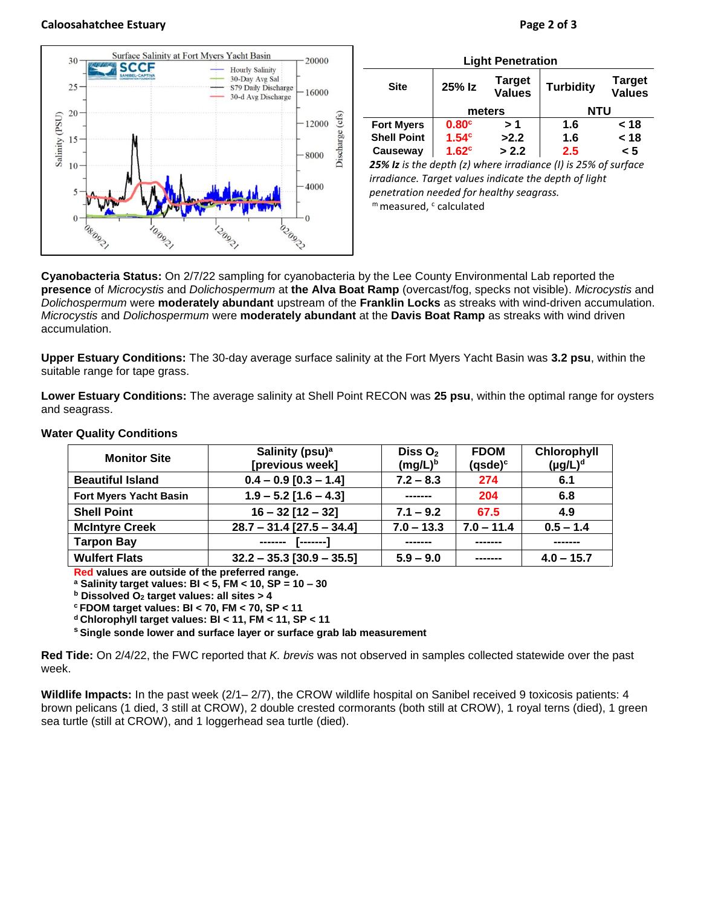## **Caloosahatchee Estuary Page 2 of 3**



| <b>Light Penetration</b>                                                                          |                   |                                |                  |                                |  |  |  |
|---------------------------------------------------------------------------------------------------|-------------------|--------------------------------|------------------|--------------------------------|--|--|--|
| <b>Site</b>                                                                                       | 25% Iz            | <b>Target</b><br><b>Values</b> | <b>Turbidity</b> | <b>Target</b><br><b>Values</b> |  |  |  |
|                                                                                                   | meters            |                                | <b>NTU</b>       |                                |  |  |  |
| <b>Fort Myers</b>                                                                                 | 0.80 <sup>c</sup> | > 1                            | 1.6              | < 18                           |  |  |  |
| <b>Shell Point</b>                                                                                | 1.54 <sup>c</sup> | >2.2                           | 1.6              | < 18                           |  |  |  |
| Causeway                                                                                          | 1.62 <sup>c</sup> | > 2.2                          | 2.5              | < 5                            |  |  |  |
| <b>3FM</b> Is in the depth $\left( -\right)$ where invading as $\left( 1\right)$ is 3FM of sympas |                   |                                |                  |                                |  |  |  |

*25% Iz is the depth (z) where irradiance (I) is 25% of surface irradiance. Target values indicate the depth of light penetration needed for healthy seagrass.* m measured, c calculated

**Cyanobacteria Status:** On 2/7/22 sampling for cyanobacteria by the Lee County Environmental Lab reported the **presence** of *Microcystis* and *Dolichospermum* at **the Alva Boat Ramp** (overcast/fog, specks not visible). *Microcystis* and *Dolichospermum* were **moderately abundant** upstream of the **Franklin Locks** as streaks with wind-driven accumulation. *Microcystis* and *Dolichospermum* were **moderately abundant** at the **Davis Boat Ramp** as streaks with wind driven accumulation.

**Upper Estuary Conditions:** The 30-day average surface salinity at the Fort Myers Yacht Basin was **3.2 psu**, within the suitable range for tape grass.

**Lower Estuary Conditions:** The average salinity at Shell Point RECON was **25 psu**, within the optimal range for oysters and seagrass.

| <b>Monitor Site</b>           | Salinity (psu) <sup>a</sup><br>Diss $O2$<br>[previous week]<br>$(mg/L)^b$ |                              | <b>FDOM</b><br>$(q$ sde $)^c$ | Chlorophyll<br>$(\mu g/L)^d$ |
|-------------------------------|---------------------------------------------------------------------------|------------------------------|-------------------------------|------------------------------|
| <b>Beautiful Island</b>       | $0.4 - 0.9$ [0.3 - 1.4]                                                   | $7.2 - 8.3$                  | 274                           | 6.1                          |
| <b>Fort Myers Yacht Basin</b> | $1.9 - 5.2$ [1.6 - 4.3]                                                   | -------                      | 204                           | 6.8                          |
| <b>Shell Point</b>            | $16 - 32$ [12 - 32]                                                       | $7.1 - 9.2$                  | 67.5                          | 4.9                          |
| <b>McIntyre Creek</b>         | $28.7 - 31.4$ [27.5 - 34.4]                                               | $7.0 - 11.4$<br>$7.0 - 13.3$ |                               | $0.5 - 1.4$                  |
| <b>Tarpon Bay</b>             | ------- [------]                                                          |                              |                               |                              |
| <b>Wulfert Flats</b>          | $32.2 - 35.3$ [30.9 - 35.5]                                               | $5.9 - 9.0$                  | -------                       | $4.0 - 15.7$                 |

## **Water Quality Conditions**

**Red values are outside of the preferred range.**

**<sup>a</sup> Salinity target values: BI < 5, FM < 10, SP = 10 – 30**

**<sup>b</sup> Dissolved O<sup>2</sup> target values: all sites > 4**

**<sup>c</sup> FDOM target values: BI < 70, FM < 70, SP < 11**

**<sup>d</sup> Chlorophyll target values: BI < 11, FM < 11, SP < 11** 

**<sup>s</sup> Single sonde lower and surface layer or surface grab lab measurement**

**Red Tide:** On 2/4/22, the FWC reported that *K. brevis* was not observed in samples collected statewide over the past week.

**Wildlife Impacts:** In the past week (2/1– 2/7), the CROW wildlife hospital on Sanibel received 9 toxicosis patients: 4 brown pelicans (1 died, 3 still at CROW), 2 double crested cormorants (both still at CROW), 1 royal terns (died), 1 green sea turtle (still at CROW), and 1 loggerhead sea turtle (died).